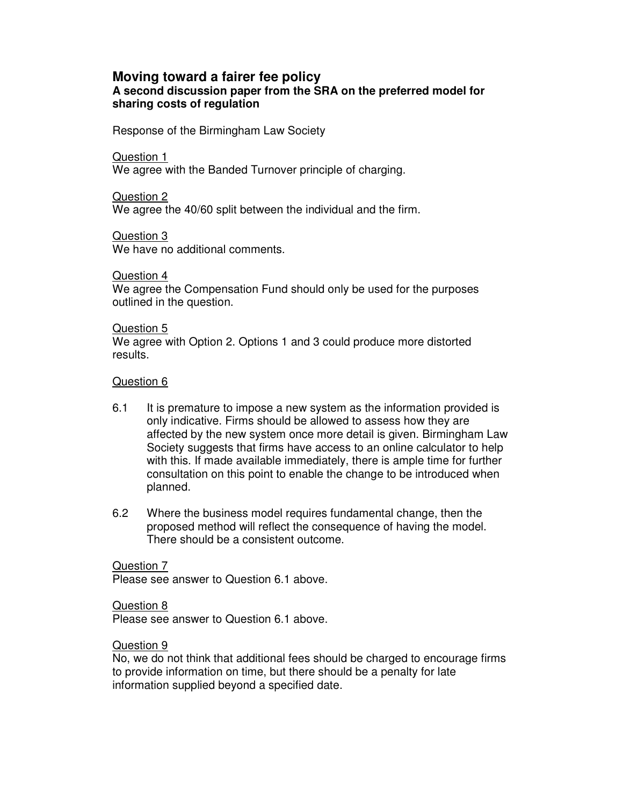### **Moving toward a fairer fee policy A second discussion paper from the SRA on the preferred model for sharing costs of regulation**

Response of the Birmingham Law Society

Question 1

We agree with the Banded Turnover principle of charging.

Question 2 We agree the 40/60 split between the individual and the firm.

Question 3 We have no additional comments.

Question 4

We agree the Compensation Fund should only be used for the purposes outlined in the question.

#### Question 5

We agree with Option 2. Options 1 and 3 could produce more distorted results.

## Question 6

- 6.1 It is premature to impose a new system as the information provided is only indicative. Firms should be allowed to assess how they are affected by the new system once more detail is given. Birmingham Law Society suggests that firms have access to an online calculator to help with this. If made available immediately, there is ample time for further consultation on this point to enable the change to be introduced when planned.
- 6.2 Where the business model requires fundamental change, then the proposed method will reflect the consequence of having the model. There should be a consistent outcome.

## Question 7

Please see answer to Question 6.1 above.

#### Question 8

Please see answer to Question 6.1 above.

#### Question 9

No, we do not think that additional fees should be charged to encourage firms to provide information on time, but there should be a penalty for late information supplied beyond a specified date.